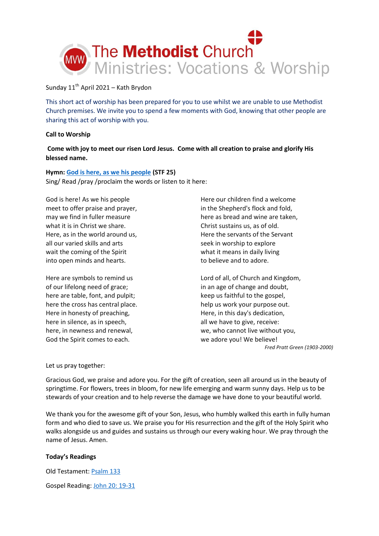

## Sunday  $11<sup>th</sup>$  April 2021 – Kath Brydon

This short act of worship has been prepared for you to use whilst we are unable to use Methodist Church premises. We invite you to spend a few moments with God, knowing that other people are sharing this act of worship with you.

## **Call to Worship**

**Come with joy to meet our risen Lord Jesus. Come with all creation to praise and glorify His blessed name.**

# **Hymn: [God is here, as we his people](https://youtu.be/QbkNXq71iis?t=4) (STF 25)**

Sing/ Read /pray /proclaim the words or listen to it here:

God is here! As we his people meet to offer praise and prayer, may we find in fuller measure what it is in Christ we share. Here, as in the world around us, all our varied skills and arts wait the coming of the Spirit into open minds and hearts.

Here are symbols to remind us of our lifelong need of grace; here are table, font, and pulpit; here the cross has central place. Here in honesty of preaching, here in silence, as in speech, here, in newness and renewal, God the Spirit comes to each.

Here our children find a welcome in the Shepherd's flock and fold, here as bread and wine are taken, Christ sustains us, as of old. Here the servants of the Servant seek in worship to explore what it means in daily living to believe and to adore.

Lord of all, of Church and Kingdom, in an age of change and doubt, keep us faithful to the gospel, help us work your purpose out. Here, in this day's dedication, all we have to give, receive: we, who cannot live without you, we adore you! We believe!

*Fred Pratt Green (1903-2000)*

## Let us pray together:

Gracious God, we praise and adore you. For the gift of creation, seen all around us in the beauty of springtime. For flowers, trees in bloom, for new life emerging and warm sunny days. Help us to be stewards of your creation and to help reverse the damage we have done to your beautiful world.

We thank you for the awesome gift of your Son, Jesus, who humbly walked this earth in fully human form and who died to save us. We praise you for His resurrection and the gift of the Holy Spirit who walks alongside us and guides and sustains us through our every waking hour. We pray through the name of Jesus. Amen.

## **Today's Readings**

Old Testament: [Psalm 133](https://www.biblegateway.com/passage/?search=Psalm+133&version=NIV)

Gospel Reading: [John 20: 19-31](https://www.biblegateway.com/passage/?search=John+20%3A+19-31+&version=NIV)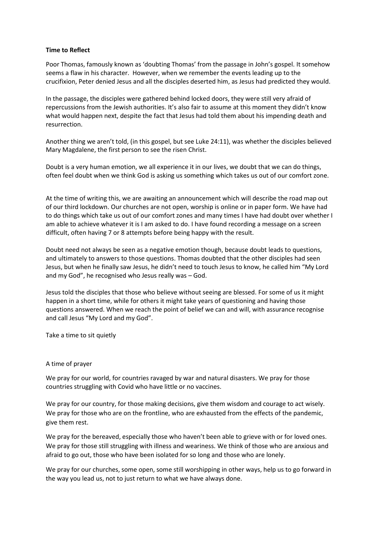## **Time to Reflect**

Poor Thomas, famously known as 'doubting Thomas' from the passage in John's gospel. It somehow seems a flaw in his character. However, when we remember the events leading up to the crucifixion, Peter denied Jesus and all the disciples deserted him, as Jesus had predicted they would.

In the passage, the disciples were gathered behind locked doors, they were still very afraid of repercussions from the Jewish authorities. It's also fair to assume at this moment they didn't know what would happen next, despite the fact that Jesus had told them about his impending death and resurrection.

Another thing we aren't told, (in this gospel, but see Luke 24:11), was whether the disciples believed Mary Magdalene, the first person to see the risen Christ.

Doubt is a very human emotion, we all experience it in our lives, we doubt that we can do things, often feel doubt when we think God is asking us something which takes us out of our comfort zone.

At the time of writing this, we are awaiting an announcement which will describe the road map out of our third lockdown. Our churches are not open, worship is online or in paper form. We have had to do things which take us out of our comfort zones and many times I have had doubt over whether I am able to achieve whatever it is I am asked to do. I have found recording a message on a screen difficult, often having 7 or 8 attempts before being happy with the result.

Doubt need not always be seen as a negative emotion though, because doubt leads to questions, and ultimately to answers to those questions. Thomas doubted that the other disciples had seen Jesus, but when he finally saw Jesus, he didn't need to touch Jesus to know, he called him "My Lord and my God", he recognised who Jesus really was – God.

Jesus told the disciples that those who believe without seeing are blessed. For some of us it might happen in a short time, while for others it might take years of questioning and having those questions answered. When we reach the point of belief we can and will, with assurance recognise and call Jesus "My Lord and my God".

Take a time to sit quietly

## A time of prayer

We pray for our world, for countries ravaged by war and natural disasters. We pray for those countries struggling with Covid who have little or no vaccines.

We pray for our country, for those making decisions, give them wisdom and courage to act wisely. We pray for those who are on the frontline, who are exhausted from the effects of the pandemic, give them rest.

We pray for the bereaved, especially those who haven't been able to grieve with or for loved ones. We pray for those still struggling with illness and weariness. We think of those who are anxious and afraid to go out, those who have been isolated for so long and those who are lonely.

We pray for our churches, some open, some still worshipping in other ways, help us to go forward in the way you lead us, not to just return to what we have always done.